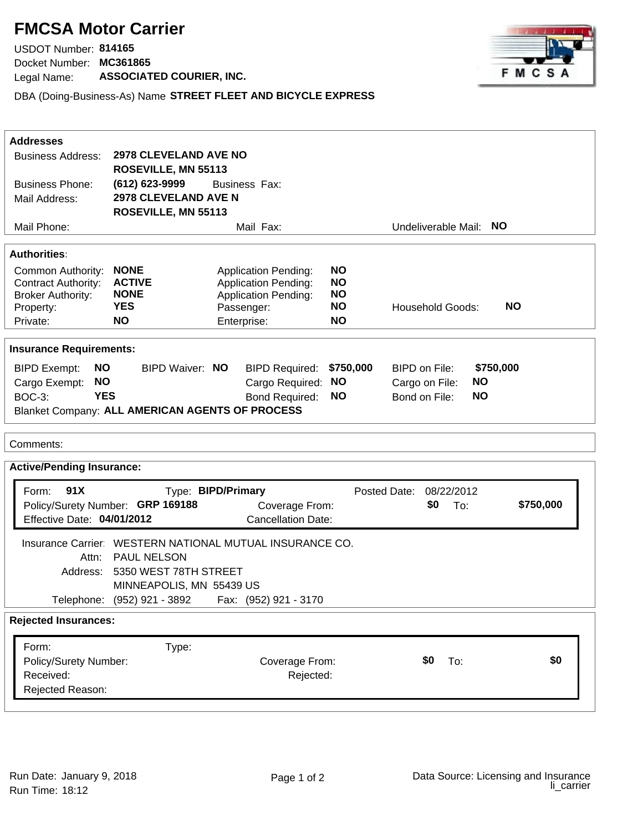## **FMCSA Motor Carrier**

Docket Number: **MC361865** USDOT Number: **814165**  Legal Name: **ASSOCIATED COURIER, INC.**



DBA (Doing-Business-As) Name **STREET FLEET AND BICYCLE EXPRESS**

| <b>Addresses</b>                                                              |                                                     |                                                          |           |                                      |           |  |  |
|-------------------------------------------------------------------------------|-----------------------------------------------------|----------------------------------------------------------|-----------|--------------------------------------|-----------|--|--|
| <b>Business Address:</b>                                                      | <b>2978 CLEVELAND AVE NO</b><br>ROSEVILLE, MN 55113 |                                                          |           |                                      |           |  |  |
| <b>Business Phone:</b>                                                        | (612) 623-9999                                      | <b>Business Fax:</b>                                     |           |                                      |           |  |  |
| Mail Address:                                                                 | <b>2978 CLEVELAND AVE N</b>                         |                                                          |           |                                      |           |  |  |
|                                                                               | ROSEVILLE, MN 55113                                 |                                                          |           |                                      |           |  |  |
| Mail Phone:                                                                   |                                                     | Mail Fax:                                                |           | Undeliverable Mail:                  | <b>NO</b> |  |  |
|                                                                               |                                                     |                                                          |           |                                      |           |  |  |
| <b>Authorities</b>                                                            |                                                     |                                                          |           |                                      |           |  |  |
| <b>NONE</b><br>Common Authority:                                              |                                                     | <b>Application Pending:</b>                              | <b>NO</b> |                                      |           |  |  |
| <b>ACTIVE</b><br><b>Contract Authority:</b>                                   |                                                     | <b>Application Pending:</b>                              | <b>NO</b> |                                      |           |  |  |
| <b>NONE</b><br><b>Broker Authority:</b>                                       |                                                     | Application Pending:                                     | <b>NO</b> |                                      |           |  |  |
| <b>YES</b><br>Property:                                                       |                                                     | Passenger:                                               | <b>NO</b> | <b>NO</b><br><b>Household Goods:</b> |           |  |  |
| <b>NO</b><br>Private:                                                         |                                                     | Enterprise:                                              | <b>NO</b> |                                      |           |  |  |
| <b>Insurance Requirements:</b>                                                |                                                     |                                                          |           |                                      |           |  |  |
| <b>BIPD Exempt:</b><br><b>NO</b>                                              | <b>BIPD Waiver: NO</b>                              | <b>BIPD Required:</b>                                    | \$750,000 | BIPD on File:                        | \$750,000 |  |  |
| <b>NO</b><br>Cargo Exempt:                                                    |                                                     | Cargo Required:                                          | <b>NO</b> | <b>NO</b><br>Cargo on File:          |           |  |  |
| <b>YES</b><br><b>BOC-3:</b>                                                   |                                                     | <b>Bond Required:</b>                                    | <b>NO</b> | <b>NO</b><br>Bond on File:           |           |  |  |
| Blanket Company: ALL AMERICAN AGENTS OF PROCESS                               |                                                     |                                                          |           |                                      |           |  |  |
|                                                                               |                                                     |                                                          |           |                                      |           |  |  |
| Comments:                                                                     |                                                     |                                                          |           |                                      |           |  |  |
| <b>Active/Pending Insurance:</b>                                              |                                                     |                                                          |           |                                      |           |  |  |
|                                                                               |                                                     |                                                          |           |                                      |           |  |  |
| 91X<br>Form:                                                                  | Type: BIPD/Primary                                  | Posted Date:<br>08/22/2012                               |           |                                      |           |  |  |
| \$750,000<br>Policy/Surety Number: GRP 169188<br>\$0<br>To:<br>Coverage From: |                                                     |                                                          |           |                                      |           |  |  |
| Effective Date: 04/01/2012                                                    |                                                     | <b>Cancellation Date:</b>                                |           |                                      |           |  |  |
|                                                                               |                                                     | Insurance Carrier: WESTERN NATIONAL MUTUAL INSURANCE CO. |           |                                      |           |  |  |
| Attn:                                                                         | <b>PAUL NELSON</b>                                  |                                                          |           |                                      |           |  |  |
| Address:                                                                      | 5350 WEST 78TH STREET                               |                                                          |           |                                      |           |  |  |
| MINNEAPOLIS, MN 55439 US                                                      |                                                     |                                                          |           |                                      |           |  |  |
|                                                                               |                                                     | Telephone: (952) 921 - 3892    Fax: (952) 921 - 3170     |           |                                      |           |  |  |
|                                                                               |                                                     |                                                          |           |                                      |           |  |  |
| <b>Rejected Insurances:</b>                                                   |                                                     |                                                          |           |                                      |           |  |  |
| Form:                                                                         | Type:                                               |                                                          |           |                                      |           |  |  |
| Policy/Surety Number:                                                         |                                                     | Coverage From:                                           |           | \$0<br>To:                           | \$0       |  |  |
| Received:                                                                     |                                                     | Rejected:                                                |           |                                      |           |  |  |
| Rejected Reason:                                                              |                                                     |                                                          |           |                                      |           |  |  |
|                                                                               |                                                     |                                                          |           |                                      |           |  |  |
|                                                                               |                                                     |                                                          |           |                                      |           |  |  |